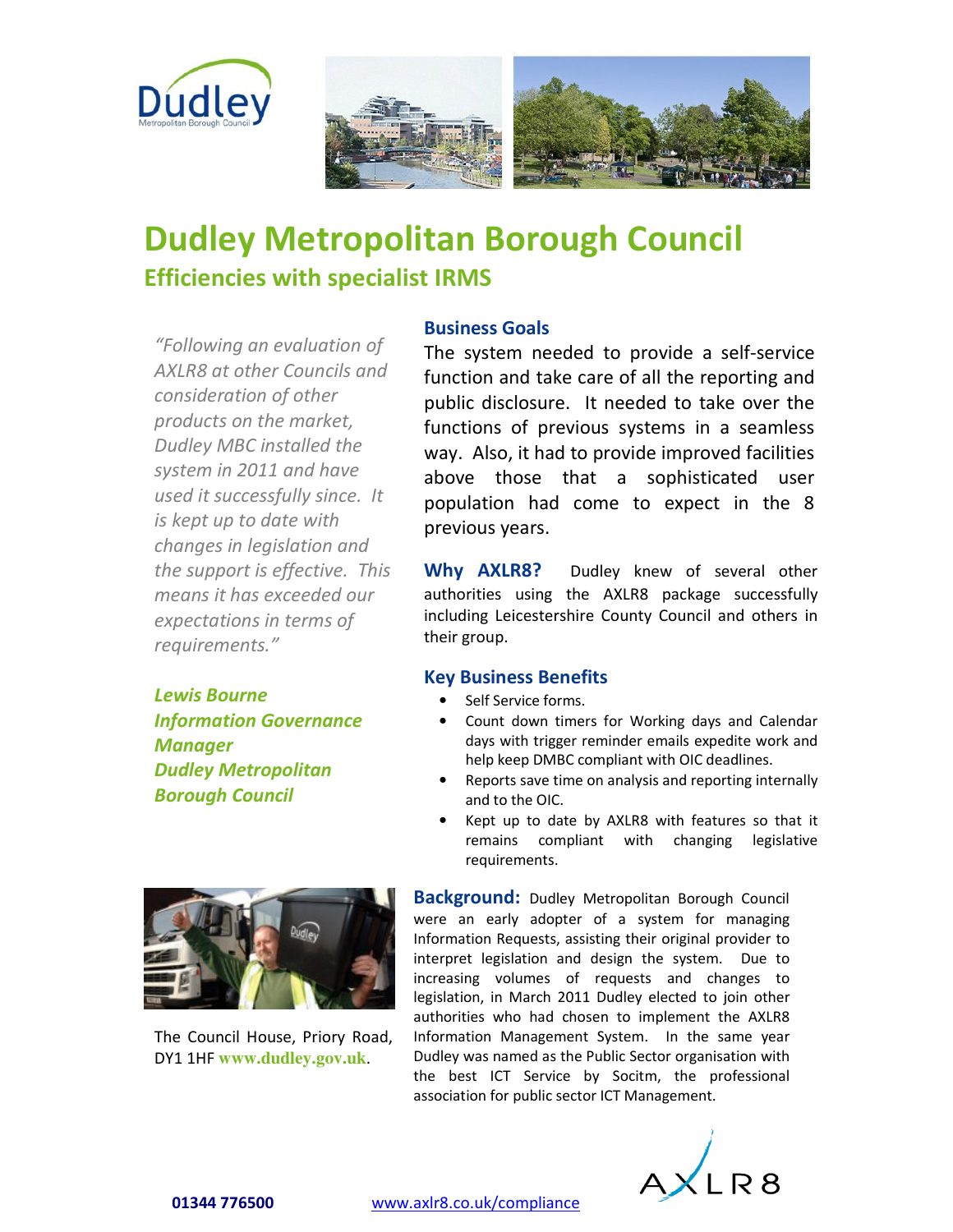

## **Dudley Metropolitan Borough Council Efficiencies with specialist IRMS**

*"Following an evaluation of AXLR8 at other Councils and consideration of other products on the market, Dudley MBC installed the system in 2011 and have used it successfully since. It is kept up to date with changes in legislation and the support is effective. This means it has exceeded our expectations in terms of requirements."*

*Lewis Bourne Information Governance Manager Dudley Metropolitan Borough Council* 



The Council House, Priory Road, DY1 1HF **www.dudley.gov.uk**.

## **Business Goals**

The system needed to provide a self-service function and take care of all the reporting and public disclosure. It needed to take over the functions of previous systems in a seamless way. Also, it had to provide improved facilities above those that a sophisticated user population had come to expect in the 8 previous years.

**Why AXLR8?** Dudley knew of several other authorities using the AXLR8 package successfully including Leicestershire County Council and others in their group.

## **Key Business Benefits**

- Self Service forms.
- Count down timers for Working days and Calendar days with trigger reminder emails expedite work and help keep DMBC compliant with OIC deadlines.
- Reports save time on analysis and reporting internally and to the OIC.
- Kept up to date by AXLR8 with features so that it remains compliant with changing legislative requirements.

**Background:** Dudley Metropolitan Borough Council were an early adopter of a system for managing Information Requests, assisting their original provider to interpret legislation and design the system. Due to increasing volumes of requests and changes to legislation, in March 2011 Dudley elected to join other authorities who had chosen to implement the AXLR8 Information Management System. In the same year Dudley was named as the Public Sector organisation with the best ICT Service by Socitm, the professional association for public sector ICT Management.